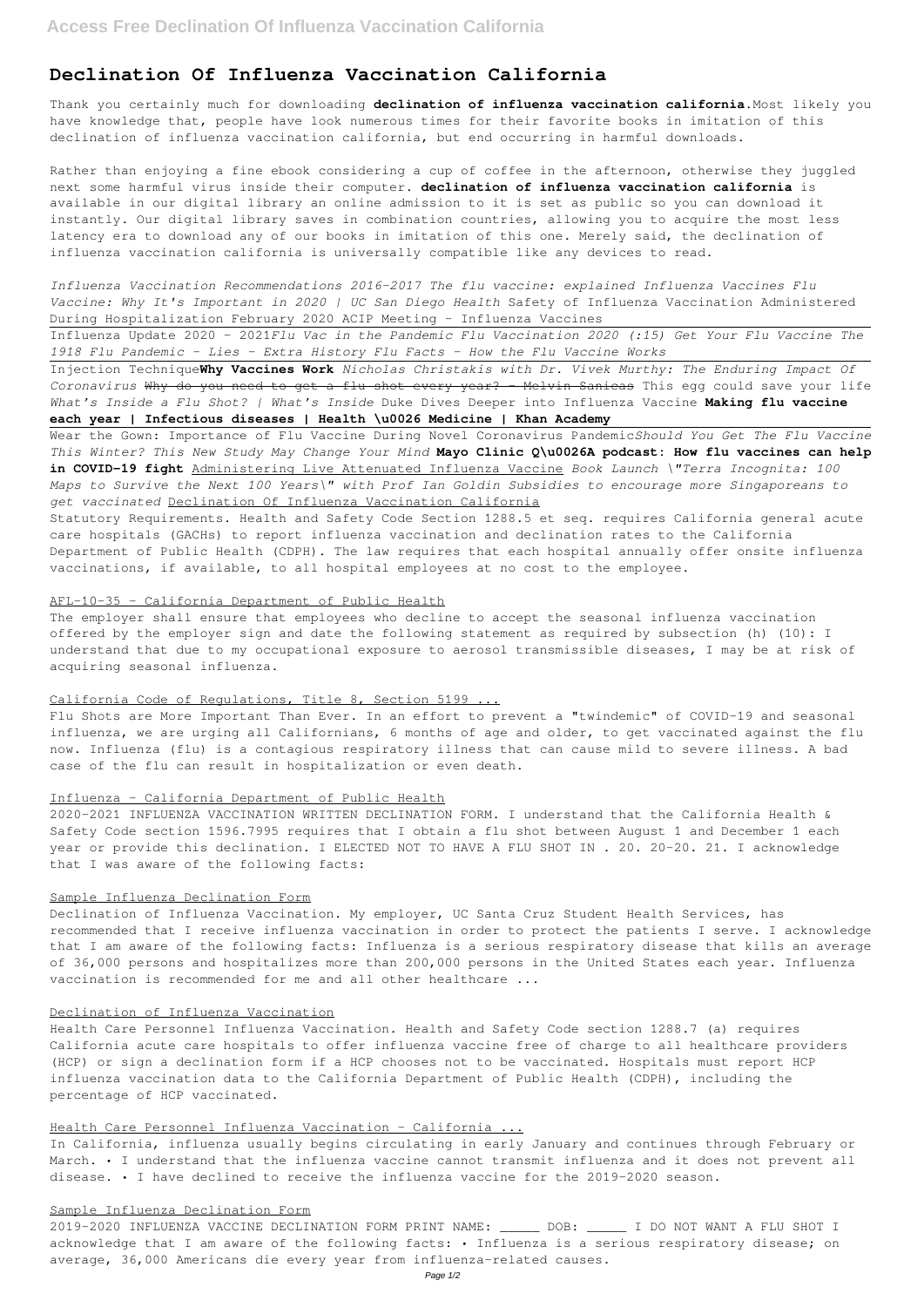# **Declination Of Influenza Vaccination California**

Thank you certainly much for downloading **declination of influenza vaccination california**.Most likely you have knowledge that, people have look numerous times for their favorite books in imitation of this declination of influenza vaccination california, but end occurring in harmful downloads.

Rather than enjoying a fine ebook considering a cup of coffee in the afternoon, otherwise they juggled next some harmful virus inside their computer. **declination of influenza vaccination california** is available in our digital library an online admission to it is set as public so you can download it instantly. Our digital library saves in combination countries, allowing you to acquire the most less latency era to download any of our books in imitation of this one. Merely said, the declination of influenza vaccination california is universally compatible like any devices to read.

*Influenza Vaccination Recommendations 2016-2017 The flu vaccine: explained Influenza Vaccines Flu Vaccine: Why It's Important in 2020 | UC San Diego Health* Safety of Influenza Vaccination Administered During Hospitalization February 2020 ACIP Meeting - Influenza Vaccines

Influenza Update 2020 – 2021*Flu Vac in the Pandemic Flu Vaccination 2020 (:15) Get Your Flu Vaccine The 1918 Flu Pandemic - Lies - Extra History Flu Facts - How the Flu Vaccine Works*

Injection Technique**Why Vaccines Work** *Nicholas Christakis with Dr. Vivek Murthy: The Enduring Impact Of Coronavirus* Why do you need to get a flu shot every year? - Melvin Sanicas This egg could save your life *What's Inside a Flu Shot? | What's Inside* Duke Dives Deeper into Influenza Vaccine **Making flu vaccine each year | Infectious diseases | Health \u0026 Medicine | Khan Academy**

Wear the Gown: Importance of Flu Vaccine During Novel Coronavirus Pandemic*Should You Get The Flu Vaccine This Winter? This New Study May Change Your Mind* **Mayo Clinic Q\u0026A podcast: How flu vaccines can help in COVID-19 fight** Administering Live Attenuated Influenza Vaccine *Book Launch \"Terra Incognita: 100 Maps to Survive the Next 100 Years\" with Prof Ian Goldin Subsidies to encourage more Singaporeans to get vaccinated* Declination Of Influenza Vaccination California

Statutory Requirements. Health and Safety Code Section 1288.5 et seq. requires California general acute care hospitals (GACHs) to report influenza vaccination and declination rates to the California Department of Public Health (CDPH). The law requires that each hospital annually offer onsite influenza vaccinations, if available, to all hospital employees at no cost to the employee.

# AFL-10-35 - California Department of Public Health

The employer shall ensure that employees who decline to accept the seasonal influenza vaccination offered by the employer sign and date the following statement as required by subsection (h) (10): I understand that due to my occupational exposure to aerosol transmissible diseases, I may be at risk of acquiring seasonal influenza.

### California Code of Regulations, Title 8, Section 5199 ...

Flu Shots are More Important Than Ever. In an effort to prevent a "twindemic" of COVID-19 and seasonal influenza, we are urging all Californians, 6 months of age and older, to get vaccinated against the flu now. Influenza (flu) is a contagious respiratory illness that can cause mild to severe illness. A bad case of the flu can result in hospitalization or even death.

# Influenza - California Department of Public Health

2020-2021 INFLUENZA VACCINATION WRITTEN DECLINATION FORM. I understand that the California Health & Safety Code section 1596.7995 requires that I obtain a flu shot between August 1 and December 1 each year or provide this declination. I ELECTED NOT TO HAVE A FLU SHOT IN . 20. 20-20. 21. I acknowledge that I was aware of the following facts:

### Sample Influenza Declination Form

Declination of Influenza Vaccination. My employer, UC Santa Cruz Student Health Services, has recommended that I receive influenza vaccination in order to protect the patients I serve. I acknowledge that I am aware of the following facts: Influenza is a serious respiratory disease that kills an average of 36,000 persons and hospitalizes more than 200,000 persons in the United States each year. Influenza vaccination is recommended for me and all other healthcare ...

#### Declination of Influenza Vaccination

Health Care Personnel Influenza Vaccination. Health and Safety Code section 1288.7 (a) requires California acute care hospitals to offer influenza vaccine free of charge to all healthcare providers (HCP) or sign a declination form if a HCP chooses not to be vaccinated. Hospitals must report HCP influenza vaccination data to the California Department of Public Health (CDPH), including the percentage of HCP vaccinated.

### Health Care Personnel Influenza Vaccination - California ...

In California, influenza usually begins circulating in early January and continues through February or March. • I understand that the influenza vaccine cannot transmit influenza and it does not prevent all disease. • I have declined to receive the influenza vaccine for the 2019-2020 season.

## Sample Influenza Declination Form

2019-2020 INFLUENZA VACCINE DECLINATION FORM PRINT NAME: \_\_\_\_\_ DOB: \_\_\_\_\_ I DO NOT WANT A FLU SHOT I acknowledge that I am aware of the following facts: • Influenza is a serious respiratory disease; on average, 36,000 Americans die every year from influenza-related causes.